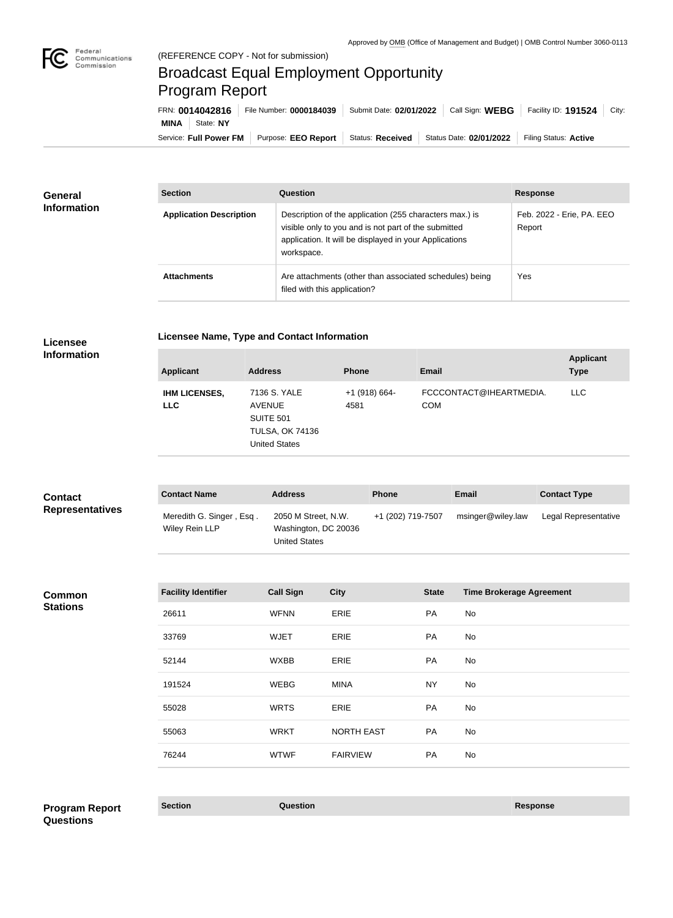

**COL** 

## Broadcast Equal Employment Opportunity Program Report

Service: Full Power FM Purpose: EEO Report | Status: Received | Status Date: 02/01/2022 | Filing Status: Active **MINA** State: **NY** FRN: **0014042816** File Number: **0000184039** Submit Date: **02/01/2022** Call Sign: **WEBG** Facility ID: **191524** City:

| <b>General</b><br><b>Information</b> | <b>Section</b>                 | Question                                                                                                                                                                                | <b>Response</b>                     |
|--------------------------------------|--------------------------------|-----------------------------------------------------------------------------------------------------------------------------------------------------------------------------------------|-------------------------------------|
|                                      | <b>Application Description</b> | Description of the application (255 characters max.) is<br>visible only to you and is not part of the submitted<br>application. It will be displayed in your Applications<br>workspace. | Feb. 2022 - Erie, PA. EEO<br>Report |
|                                      | <b>Attachments</b>             | Are attachments (other than associated schedules) being<br>filed with this application?                                                                                                 | Yes                                 |

**Licensee** 

**Licensee Name, Type and Contact Information**

|  |  | <b>Information</b> |
|--|--|--------------------|

| <b>Applicant</b>                   | <b>Address</b>                                                                                      | <b>Phone</b>            | <b>Email</b>                          | <b>Applicant</b><br><b>Type</b> |
|------------------------------------|-----------------------------------------------------------------------------------------------------|-------------------------|---------------------------------------|---------------------------------|
| <b>IHM LICENSES,</b><br><b>LLC</b> | 7136 S. YALE<br><b>AVENUE</b><br><b>SUITE 501</b><br><b>TULSA, OK 74136</b><br><b>United States</b> | $+1$ (918) 664-<br>4581 | FCCCONTACT@IHEARTMEDIA.<br><b>COM</b> | <b>LLC</b>                      |

| <b>Contact</b><br><b>Representatives</b> | <b>Contact Name</b>                        | <b>Address</b>                                                      | <b>Phone</b>      | <b>Email</b>      | <b>Contact Type</b>  |
|------------------------------------------|--------------------------------------------|---------------------------------------------------------------------|-------------------|-------------------|----------------------|
|                                          | Meredith G. Singer, Esq.<br>Wiley Rein LLP | 2050 M Street, N.W.<br>Washington, DC 20036<br><b>United States</b> | +1 (202) 719-7507 | msinger@wiley.law | Legal Representative |

**Common Stations**

| <b>Facility Identifier</b> | <b>Call Sign</b> | <b>City</b>       | <b>State</b> | <b>Time Brokerage Agreement</b> |
|----------------------------|------------------|-------------------|--------------|---------------------------------|
| 26611                      | <b>WFNN</b>      | ERIE              | <b>PA</b>    | No                              |
| 33769                      | <b>WJET</b>      | ERIE              | <b>PA</b>    | No                              |
| 52144                      | <b>WXBB</b>      | ERIE              | <b>PA</b>    | No                              |
| 191524                     | <b>WEBG</b>      | <b>MINA</b>       | <b>NY</b>    | No                              |
| 55028                      | <b>WRTS</b>      | ERIE              | <b>PA</b>    | No                              |
| 55063                      | <b>WRKT</b>      | <b>NORTH EAST</b> | <b>PA</b>    | No                              |
| 76244                      | <b>WTWF</b>      | <b>FAIRVIEW</b>   | <b>PA</b>    | No                              |
|                            |                  |                   |              |                                 |

**Section Question Response Program Report Questions**